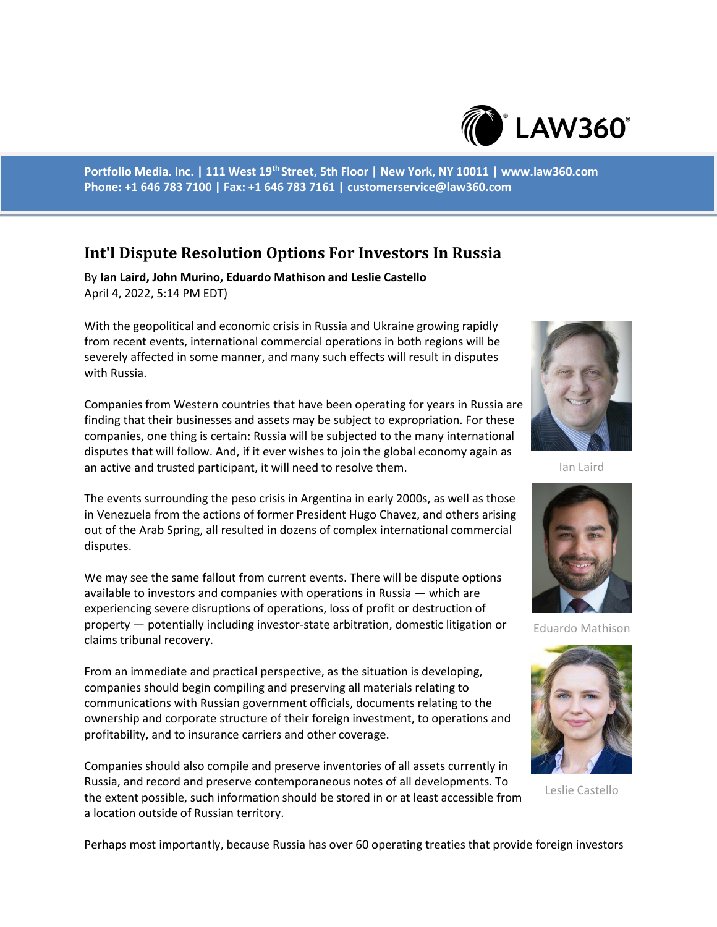

**Portfolio Media. Inc. | 111 West 19th Street, 5th Floor | New York, NY 10011 | www.law360.com Phone: +1 646 783 7100 | Fax: +1 646 783 7161 | customerservice@law360.com**

## **Int'l Dispute Resolution Options For Investors In Russia**

By **Ian Laird, John Murino, Eduardo Mathison and Leslie Castello** April 4, 2022, 5:14 PM EDT)

With the geopolitical and economic crisis in Russia and Ukraine growing rapidly from recent events, international commercial operations in both regions will be severely affected in some manner, and many such effects will result in disputes with Russia.

Companies from Western countries that have been operating for years in Russia are finding that their businesses and assets may be subject to expropriation. For these companies, one thing is certain: Russia will be subjected to the many international disputes that will follow. And, if it ever wishes to join the global economy again as an active and trusted participant, it will need to resolve them.

The events surrounding the peso crisis in Argentina in early 2000s, as well as those in Venezuela from the actions of former President Hugo Chavez, and others arising out of the Arab Spring, all resulted in dozens of complex international commercial disputes.

We may see the same fallout from current events. There will be dispute options available to investors and companies with operations in Russia — which are experiencing severe disruptions of operations, loss of profit or destruction of property — potentially including investor-state arbitration, domestic litigation or claims tribunal recovery.

From an immediate and practical perspective, as the situation is developing, companies should begin compiling and preserving all materials relating to communications with Russian government officials, documents relating to the ownership and corporate structure of their foreign investment, to operations and profitability, and to insurance carriers and other coverage.

Companies should also compile and preserve inventories of all assets currently in Russia, and record and preserve contemporaneous notes of all developments. To the extent possible, such information should be stored in or at least accessible from a location outside of Russian territory.



Ian Laird



Eduardo Mathison



Leslie Castello

Perhaps most importantly, because Russia has over 60 operating treaties that provide foreign investors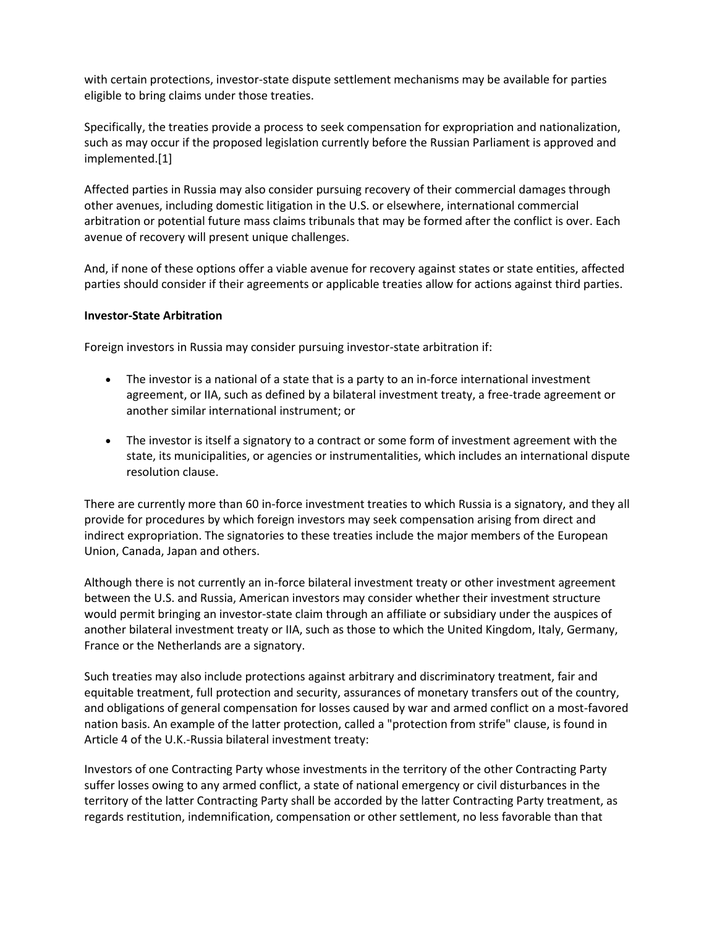with certain protections, investor-state dispute settlement mechanisms may be available for parties eligible to bring claims under those treaties.

Specifically, the treaties provide a process to seek compensation for expropriation and nationalization, such as may occur if the proposed legislation currently before the Russian Parliament is approved and implemented.[1]

Affected parties in Russia may also consider pursuing recovery of their commercial damages through other avenues, including domestic litigation in the U.S. or elsewhere, international commercial arbitration or potential future mass claims tribunals that may be formed after the conflict is over. Each avenue of recovery will present unique challenges.

And, if none of these options offer a viable avenue for recovery against states or state entities, affected parties should consider if their agreements or applicable treaties allow for actions against third parties.

## **Investor-State Arbitration**

Foreign investors in Russia may consider pursuing investor-state arbitration if:

- The investor is a national of a state that is a party to an in-force international investment agreement, or IIA, such as defined by a bilateral investment treaty, a free-trade agreement or another similar international instrument; or
- The investor is itself a signatory to a contract or some form of investment agreement with the state, its municipalities, or agencies or instrumentalities, which includes an international dispute resolution clause.

There are currently more than 60 in-force investment treaties to which Russia is a signatory, and they all provide for procedures by which foreign investors may seek compensation arising from direct and indirect expropriation. The signatories to these treaties include the major members of the European Union, Canada, Japan and others.

Although there is not currently an in-force bilateral investment treaty or other investment agreement between the U.S. and Russia, American investors may consider whether their investment structure would permit bringing an investor-state claim through an affiliate or subsidiary under the auspices of another bilateral investment treaty or IIA, such as those to which the United Kingdom, Italy, Germany, France or the Netherlands are a signatory.

Such treaties may also include protections against arbitrary and discriminatory treatment, fair and equitable treatment, full protection and security, assurances of monetary transfers out of the country, and obligations of general compensation for losses caused by war and armed conflict on a most-favored nation basis. An example of the latter protection, called a "protection from strife" clause, is found in Article 4 of the U.K.-Russia bilateral investment treaty:

Investors of one Contracting Party whose investments in the territory of the other Contracting Party suffer losses owing to any armed conflict, a state of national emergency or civil disturbances in the territory of the latter Contracting Party shall be accorded by the latter Contracting Party treatment, as regards restitution, indemnification, compensation or other settlement, no less favorable than that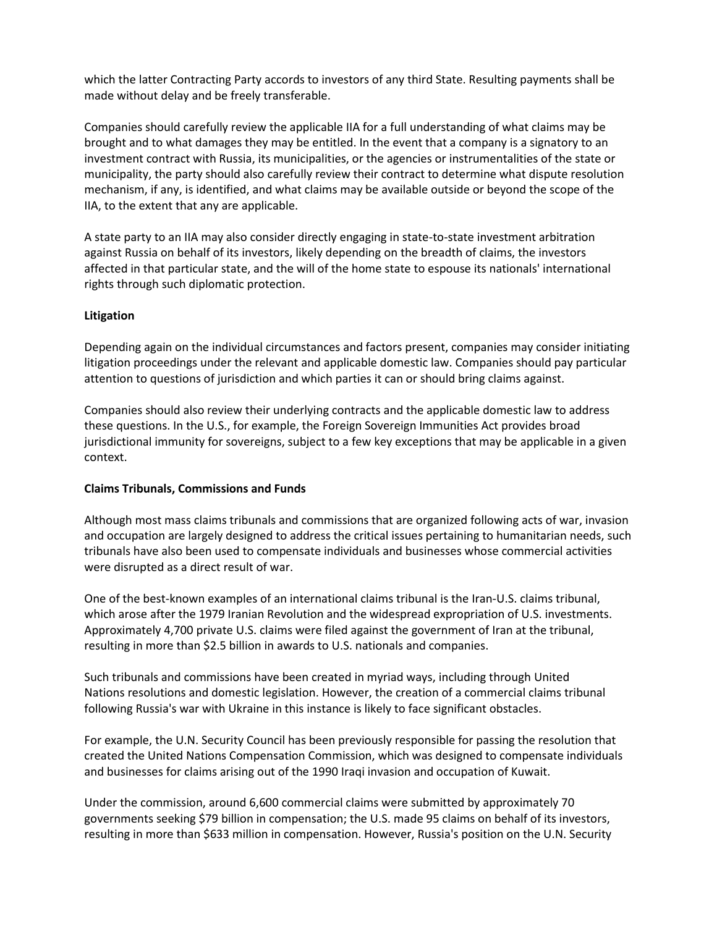which the latter Contracting Party accords to investors of any third State. Resulting payments shall be made without delay and be freely transferable.

Companies should carefully review the applicable IIA for a full understanding of what claims may be brought and to what damages they may be entitled. In the event that a company is a signatory to an investment contract with Russia, its municipalities, or the agencies or instrumentalities of the state or municipality, the party should also carefully review their contract to determine what dispute resolution mechanism, if any, is identified, and what claims may be available outside or beyond the scope of the IIA, to the extent that any are applicable.

A state party to an IIA may also consider directly engaging in state-to-state investment arbitration against Russia on behalf of its investors, likely depending on the breadth of claims, the investors affected in that particular state, and the will of the home state to espouse its nationals' international rights through such diplomatic protection.

## **Litigation**

Depending again on the individual circumstances and factors present, companies may consider initiating litigation proceedings under the relevant and applicable domestic law. Companies should pay particular attention to questions of jurisdiction and which parties it can or should bring claims against.

Companies should also review their underlying contracts and the applicable domestic law to address these questions. In the U.S., for example, the Foreign Sovereign Immunities Act provides broad jurisdictional immunity for sovereigns, subject to a few key exceptions that may be applicable in a given context.

## **Claims Tribunals, Commissions and Funds**

Although most mass claims tribunals and commissions that are organized following acts of war, invasion and occupation are largely designed to address the critical issues pertaining to humanitarian needs, such tribunals have also been used to compensate individuals and businesses whose commercial activities were disrupted as a direct result of war.

One of the best-known examples of an international claims tribunal is the Iran-U.S. claims tribunal, which arose after the 1979 Iranian Revolution and the widespread expropriation of U.S. investments. Approximately 4,700 private U.S. claims were filed against the government of Iran at the tribunal, resulting in more than \$2.5 billion in awards to U.S. nationals and companies.

Such tribunals and commissions have been created in myriad ways, including through United Nations resolutions and domestic legislation. However, the creation of a commercial claims tribunal following Russia's war with Ukraine in this instance is likely to face significant obstacles.

For example, the U.N. Security Council has been previously responsible for passing the resolution that created the United Nations Compensation Commission, which was designed to compensate individuals and businesses for claims arising out of the 1990 Iraqi invasion and occupation of Kuwait.

Under the commission, around 6,600 commercial claims were submitted by approximately 70 governments seeking \$79 billion in compensation; the U.S. made 95 claims on behalf of its investors, resulting in more than \$633 million in compensation. However, Russia's position on the U.N. Security